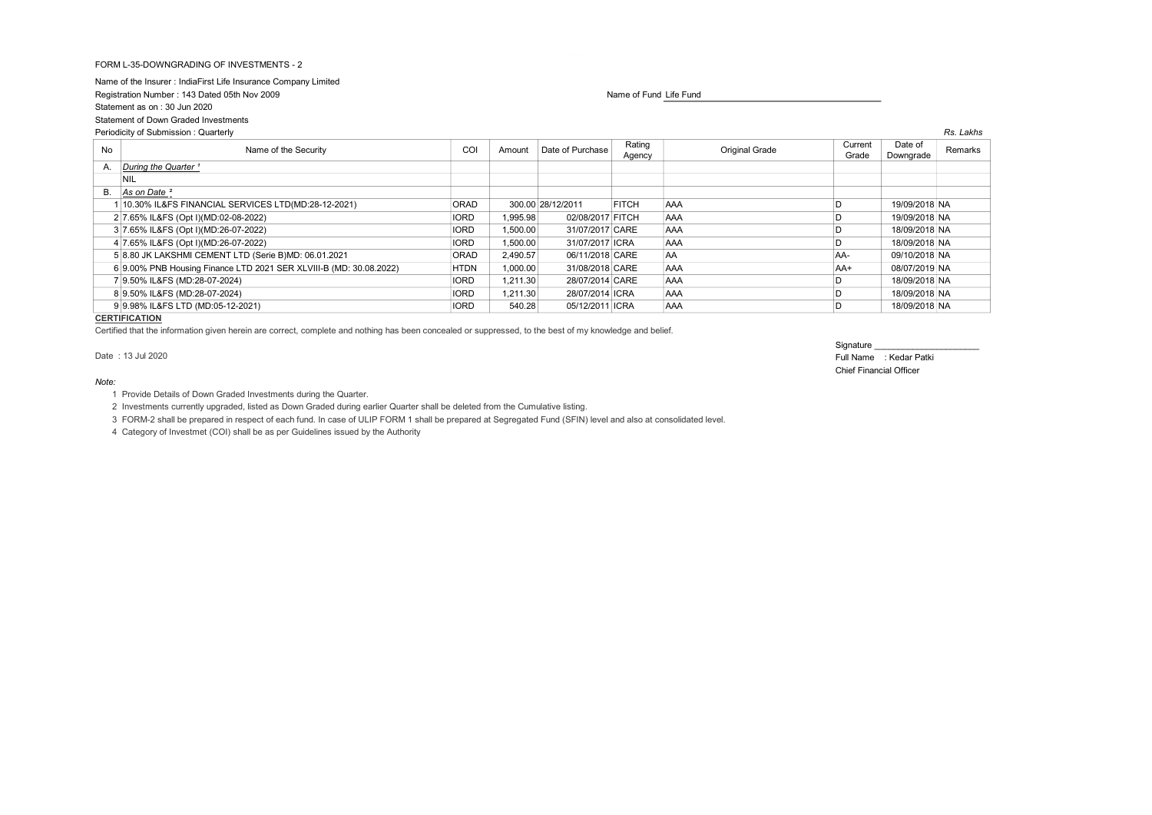# FORM L-35-DOWNGRADING OF INVESTMENTS - 2

Name of the Insurer : IndiaFirst Life Insurance Company Limited Registration Number : 143 Dated 05th Nov 2009 Name of Fund Life Fund Life Fund Life Fund Life Fund Life Fund Life Fund Statement as on : 30 Jun 2020 Statement of Down Graded Investments

| Periodicity of Submission: Quarterly |                                                                    |             |          |                   |                  |                       |                  |                      | Rs. Lakhs |
|--------------------------------------|--------------------------------------------------------------------|-------------|----------|-------------------|------------------|-----------------------|------------------|----------------------|-----------|
| No                                   | Name of the Security                                               | COI         | Amount   | Date of Purchase  | Rating<br>Agency | <b>Original Grade</b> | Current<br>Grade | Date of<br>Downgrade | Remarks   |
| А.                                   | During the Quarter <sup>1</sup>                                    |             |          |                   |                  |                       |                  |                      |           |
|                                      | NIL                                                                |             |          |                   |                  |                       |                  |                      |           |
|                                      | B. As on Date <sup>2</sup>                                         |             |          |                   |                  |                       |                  |                      |           |
|                                      | 10.30% IL&FS FINANCIAL SERVICES LTD(MD:28-12-2021)                 | ORAD        |          | 300.00 28/12/2011 | <b>FITCH</b>     | AAA                   | D                | 19/09/2018 NA        |           |
|                                      | 2 7.65% IL&FS (Opt I)(MD:02-08-2022)                               | <b>IORD</b> | 1,995.98 | 02/08/2017 FITCH  |                  | AAA                   | D                | 19/09/2018 NA        |           |
|                                      | 3 7.65% IL&FS (Opt I)(MD:26-07-2022)                               | <b>IORD</b> | 1,500.00 | 31/07/2017 CARE   |                  | AAA                   | D                | 18/09/2018 NA        |           |
|                                      | 4 7.65% IL&FS (Opt I)(MD:26-07-2022)                               | <b>IORD</b> | 1,500.00 | 31/07/2017 ICRA   |                  | AAA                   | D                | 18/09/2018 NA        |           |
|                                      | 5 8.80 JK LAKSHMI CEMENT LTD (Serie B)MD: 06.01.2021               | <b>ORAD</b> | 2.490.57 | 06/11/2018 CARE   |                  | <b>AA</b>             | AA-              | 09/10/2018 NA        |           |
|                                      | 6 9.00% PNB Housing Finance LTD 2021 SER XLVIII-B (MD: 30.08.2022) | <b>HTDN</b> | 1,000.00 | 31/08/2018 CARE   |                  | AAA                   | AA+              | 08/07/2019 NA        |           |
|                                      | 7 9.50% IL&FS (MD:28-07-2024)                                      | <b>IORD</b> | 1,211.30 | 28/07/2014 CARE   |                  | AAA                   | D                | 18/09/2018 NA        |           |
|                                      | 8 9.50% IL&FS (MD:28-07-2024)                                      | <b>IORD</b> | 1.211.30 | 28/07/2014 ICRA   |                  | AAA                   | D                | 18/09/2018 NA        |           |
|                                      | 9 9.98% IL&FS LTD (MD:05-12-2021)                                  | <b>IORD</b> | 540.28   | 05/12/2011 ICRA   |                  | AAA                   | D                | 18/09/2018 NA        |           |

## **CERTIFICATION**

Certified that the information given herein are correct, complete and nothing has been concealed or suppressed, to the best of my knowledge and belief.

#### Note:

1 Provide Details of Down Graded Investments during the Quarter.

2 Investments currently upgraded, listed as Down Graded during earlier Quarter shall be deleted from the Cumulative listing.

3 FORM-2 shall be prepared in respect of each fund. In case of ULIP FORM 1 shall be prepared at Segregated Fund (SFIN) level and also at consolidated level.

4 Category of Investmet (COI) shall be as per Guidelines issued by the Authority

# Signature

Date : 13 Jul 2020 Full Name : Kedar Patki Chief Financial Officer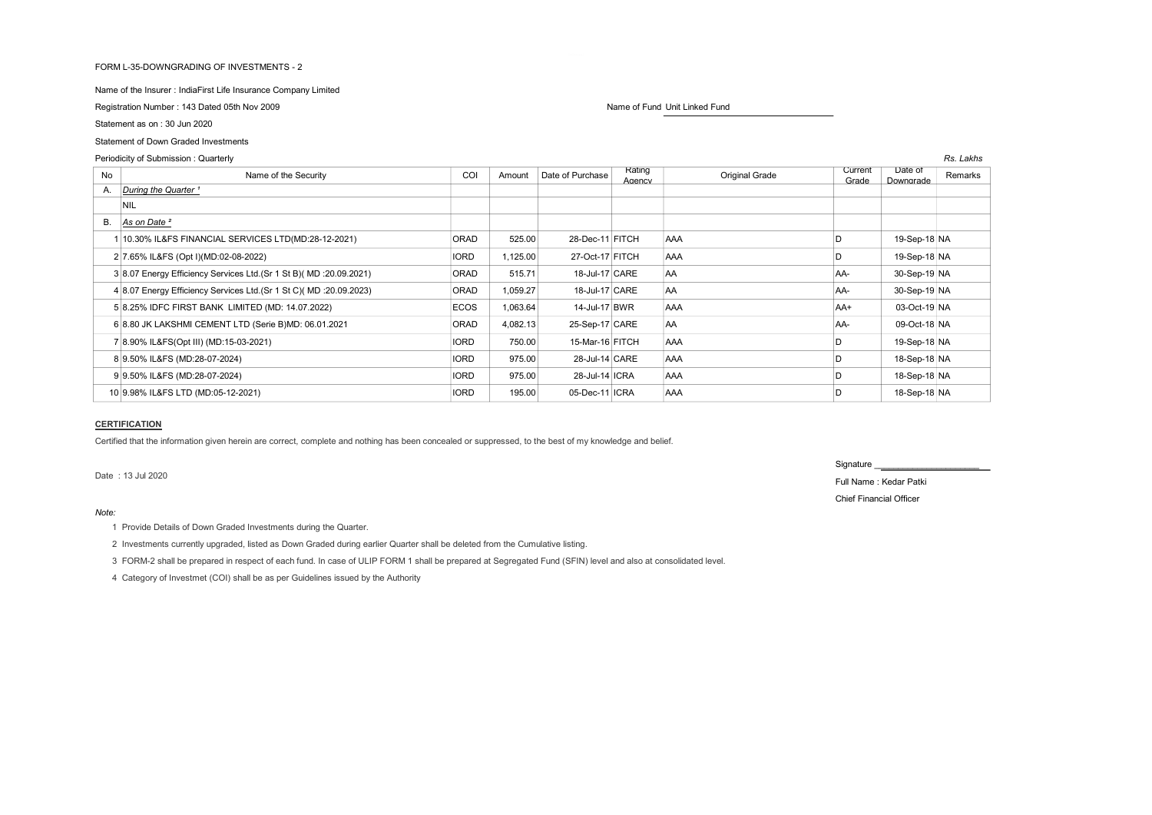#### FORM L-35-DOWNGRADING OF INVESTMENTS - 2

Name of the Insurer : IndiaFirst Life Insurance Company Limited

Registration Number : 143 Dated 05th Nov 2009 Name of Fund Unit Linked Fund Unit Linked Fund Unit Linked Fund

Statement as on : 30 Jun 2020

# Statement of Down Graded Investments

# Periodicity of Submission : Quarterly Rs. Lakhs (Rs. Lakhs and Rs. Lakhs and Rs. Lakhs and Rs. Lakhs and Rs. Lakhs and Rs. Lakhs and Rs. Lakhs and Rs. Lakhs and Rs. Lakhs and Rs. Lakhs and Rs. Lakhs and Rs. Lakhs and Rs. L

| No | Name of the Security                                                 | COI         | Amount   | Date of Purchase | Rating<br>Agency | <b>Original Grade</b> | Current<br>Grade | Date of<br>Downgrade | Remarks |
|----|----------------------------------------------------------------------|-------------|----------|------------------|------------------|-----------------------|------------------|----------------------|---------|
| А. | During the Quarter <sup>1</sup>                                      |             |          |                  |                  |                       |                  |                      |         |
|    | <b>NIL</b>                                                           |             |          |                  |                  |                       |                  |                      |         |
| В. | As on Date <sup>2</sup>                                              |             |          |                  |                  |                       |                  |                      |         |
|    | 10.30% IL&FS FINANCIAL SERVICES LTD(MD:28-12-2021)                   | ORAD        | 525.00   | 28-Dec-11 FITCH  |                  | AAA                   | D                | 19-Sep-18 NA         |         |
|    | 2 7.65% IL&FS (Opt I)(MD:02-08-2022)                                 | <b>IORD</b> | 1,125.00 | 27-Oct-17 FITCH  |                  | <b>AAA</b>            | D                | 19-Sep-18 NA         |         |
|    | 3 8.07 Energy Efficiency Services Ltd. (Sr 1 St B) (MD : 20.09.2021) | ORAD        | 515.71   | 18-Jul-17 CARE   |                  | <b>AA</b>             | AA-              | 30-Sep-19 NA         |         |
|    | 4 8.07 Energy Efficiency Services Ltd. (Sr 1 St C) (MD : 20.09.2023) | ORAD        | 1,059.27 | 18-Jul-17 CARE   |                  | AA                    | AA-              | 30-Sep-19 NA         |         |
|    | 5 8.25% IDFC FIRST BANK LIMITED (MD: 14.07.2022)                     | <b>ECOS</b> | 1,063.64 | 14-Jul-17 BWR    |                  | <b>AAA</b>            | $AA+$            | 03-Oct-19 NA         |         |
|    | 6 8.80 JK LAKSHMI CEMENT LTD (Serie B)MD: 06.01.2021                 | ORAD        | 4,082.13 | 25-Sep-17 CARE   |                  | <b>AA</b>             | AA-              | 09-Oct-18 NA         |         |
|    | 7 8.90% IL&FS(Opt III) (MD:15-03-2021)                               | <b>IORD</b> | 750.00   | 15-Mar-16 FITCH  |                  | AAA                   | D                | 19-Sep-18 NA         |         |
|    | 8 9.50% IL&FS (MD:28-07-2024)                                        | <b>IORD</b> | 975.00   | 28-Jul-14 CARE   |                  | AAA                   | D                | 18-Sep-18 NA         |         |
|    | 9 9.50% IL&FS (MD:28-07-2024)                                        | <b>IORD</b> | 975.00   | 28-Jul-14 ICRA   |                  | AAA                   |                  | 18-Sep-18 NA         |         |
|    | 10 9.98% IL&FS LTD (MD:05-12-2021)                                   | <b>IORD</b> | 195.00   | 05-Dec-11 ICRA   |                  | AAA                   | D                | 18-Sep-18 NA         |         |

# CERTIFICATION

Certified that the information given herein are correct, complete and nothing has been concealed or suppressed, to the best of my knowledge and belief.

Date : 13 Jul 2020 Full Name : Kedar Patki

#### Note:

1 Provide Details of Down Graded Investments during the Quarter.

2 Investments currently upgraded, listed as Down Graded during earlier Quarter shall be deleted from the Cumulative listing.

3 FORM-2 shall be prepared in respect of each fund. In case of ULIP FORM 1 shall be prepared at Segregated Fund (SFIN) level and also at consolidated level.

4 Category of Investmet (COI) shall be as per Guidelines issued by the Authority

Signature

Chief Financial Officer